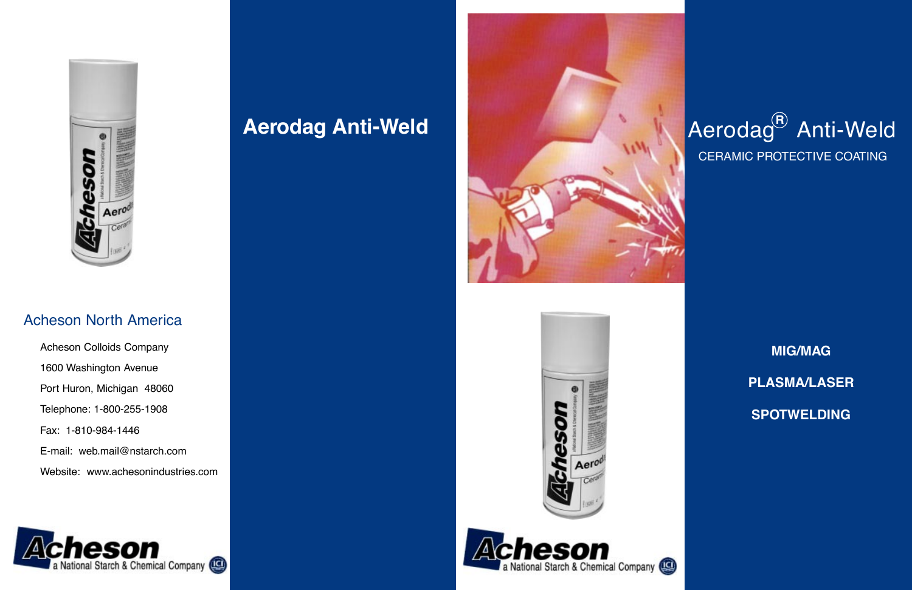# Aerodag<sup>®</sup> Anti-Weld CERAMIC PROTECTIVE COATING

**MIG/MAG**

**PLASMA/LASER**

**SPOTWELDING**



## **Aerodag Anti-Weld**









## Acheson North America

Acheson Colloids Company 1600 Washington Avenue Port Huron, Michigan 48060 Telephone: 1-800-255-1908 Fax: 1-810-984-1446 E-mail: web.mail@nstarch.com Website: www.achesonindustries.com